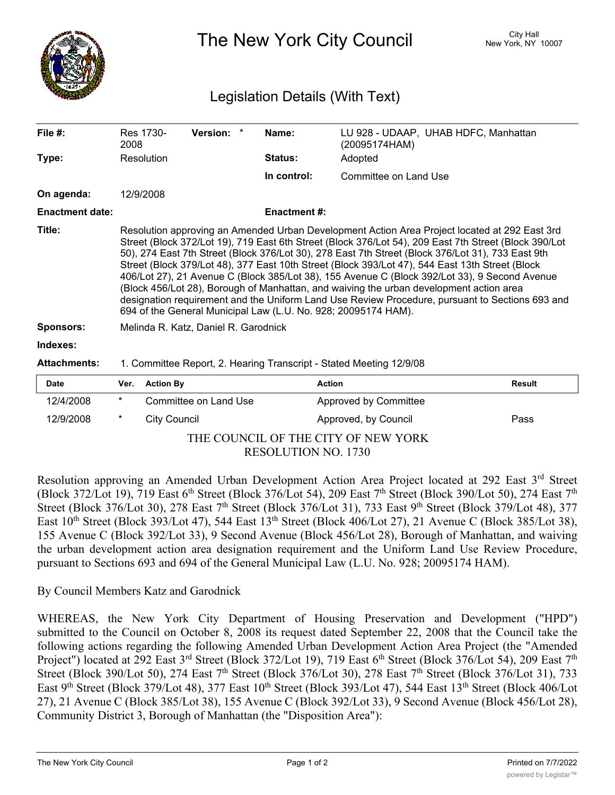

The New York City Council New York, NY 10007

## Legislation Details (With Text)

| File $#$ :             | Res 1730-<br>2008                                                                                                                                                                                                                                                                                                                                                                                                                                                                                                                                                                                                                                                                                                                                                               | Version: * |  | Name:               | LU 928 - UDAAP, UHAB HDFC, Manhattan<br>(20095174HAM) |  |  |
|------------------------|---------------------------------------------------------------------------------------------------------------------------------------------------------------------------------------------------------------------------------------------------------------------------------------------------------------------------------------------------------------------------------------------------------------------------------------------------------------------------------------------------------------------------------------------------------------------------------------------------------------------------------------------------------------------------------------------------------------------------------------------------------------------------------|------------|--|---------------------|-------------------------------------------------------|--|--|
| Type:                  | Resolution                                                                                                                                                                                                                                                                                                                                                                                                                                                                                                                                                                                                                                                                                                                                                                      |            |  | <b>Status:</b>      | Adopted                                               |  |  |
|                        |                                                                                                                                                                                                                                                                                                                                                                                                                                                                                                                                                                                                                                                                                                                                                                                 |            |  | In control:         | Committee on Land Use                                 |  |  |
| On agenda:             | 12/9/2008                                                                                                                                                                                                                                                                                                                                                                                                                                                                                                                                                                                                                                                                                                                                                                       |            |  |                     |                                                       |  |  |
| <b>Enactment date:</b> |                                                                                                                                                                                                                                                                                                                                                                                                                                                                                                                                                                                                                                                                                                                                                                                 |            |  | <b>Enactment #:</b> |                                                       |  |  |
| Title:                 | Resolution approving an Amended Urban Development Action Area Project located at 292 East 3rd<br>Street (Block 372/Lot 19), 719 East 6th Street (Block 376/Lot 54), 209 East 7th Street (Block 390/Lot<br>50), 274 East 7th Street (Block 376/Lot 30), 278 East 7th Street (Block 376/Lot 31), 733 East 9th<br>Street (Block 379/Lot 48), 377 East 10th Street (Block 393/Lot 47), 544 East 13th Street (Block<br>406/Lot 27), 21 Avenue C (Block 385/Lot 38), 155 Avenue C (Block 392/Lot 33), 9 Second Avenue<br>(Block 456/Lot 28), Borough of Manhattan, and waiving the urban development action area<br>designation requirement and the Uniform Land Use Review Procedure, pursuant to Sections 693 and<br>694 of the General Municipal Law (L.U. No. 928; 20095174 HAM). |            |  |                     |                                                       |  |  |
| <b>Sponsors:</b>       | Melinda R. Katz, Daniel R. Garodnick                                                                                                                                                                                                                                                                                                                                                                                                                                                                                                                                                                                                                                                                                                                                            |            |  |                     |                                                       |  |  |
| Indexes:               |                                                                                                                                                                                                                                                                                                                                                                                                                                                                                                                                                                                                                                                                                                                                                                                 |            |  |                     |                                                       |  |  |
| <b>Attachments:</b>    | 1. Committee Report, 2. Hearing Transcript - Stated Meeting 12/9/08                                                                                                                                                                                                                                                                                                                                                                                                                                                                                                                                                                                                                                                                                                             |            |  |                     |                                                       |  |  |

| <b>Date</b>                         |        | Ver. Action By        | Action                | Result |  |  |  |  |
|-------------------------------------|--------|-----------------------|-----------------------|--------|--|--|--|--|
| 12/4/2008                           | $\ast$ | Committee on Land Use | Approved by Committee |        |  |  |  |  |
| 12/9/2008                           | $\ast$ | City Council          | Approved, by Council  | Pass   |  |  |  |  |
| THE COUNCIL OF THE CITY OF NEW YORK |        |                       |                       |        |  |  |  |  |

RESOLUTION NO. 1730

Resolution approving an Amended Urban Development Action Area Project located at 292 East 3rd Street (Block 372/Lot 19), 719 East 6<sup>th</sup> Street (Block 376/Lot 54), 209 East 7<sup>th</sup> Street (Block 390/Lot 50), 274 East 7<sup>th</sup> Street (Block 376/Lot 30), 278 East 7<sup>th</sup> Street (Block 376/Lot 31), 733 East 9<sup>th</sup> Street (Block 379/Lot 48), 377 East 10<sup>th</sup> Street (Block 393/Lot 47), 544 East 13<sup>th</sup> Street (Block 406/Lot 27), 21 Avenue C (Block 385/Lot 38), 155 Avenue C (Block 392/Lot 33), 9 Second Avenue (Block 456/Lot 28), Borough of Manhattan, and waiving the urban development action area designation requirement and the Uniform Land Use Review Procedure, pursuant to Sections 693 and 694 of the General Municipal Law (L.U. No. 928; 20095174 HAM).

## By Council Members Katz and Garodnick

WHEREAS, the New York City Department of Housing Preservation and Development ("HPD") submitted to the Council on October 8, 2008 its request dated September 22, 2008 that the Council take the following actions regarding the following Amended Urban Development Action Area Project (the "Amended Project") located at 292 East 3<sup>rd</sup> Street (Block 372/Lot 19), 719 East 6<sup>th</sup> Street (Block 376/Lot 54), 209 East 7<sup>th</sup> Street (Block 390/Lot 50), 274 East 7<sup>th</sup> Street (Block 376/Lot 30), 278 East 7<sup>th</sup> Street (Block 376/Lot 31), 733 East 9<sup>th</sup> Street (Block 379/Lot 48), 377 East 10<sup>th</sup> Street (Block 393/Lot 47), 544 East 13<sup>th</sup> Street (Block 406/Lot 27), 21 Avenue C (Block 385/Lot 38), 155 Avenue C (Block 392/Lot 33), 9 Second Avenue (Block 456/Lot 28), Community District 3, Borough of Manhattan (the "Disposition Area"):